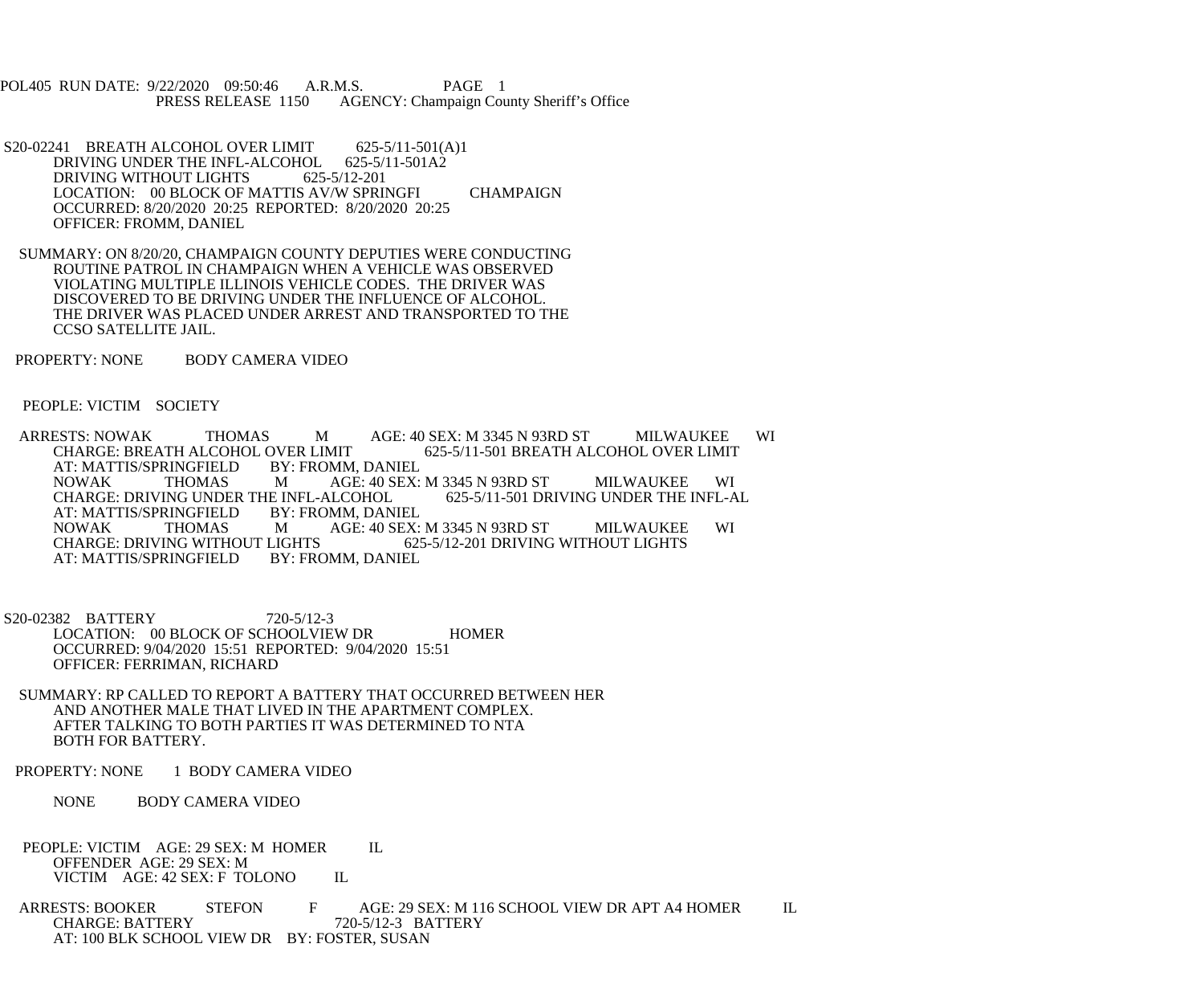POL405 RUN DATE: 9/22/2020 09:50:46 A.R.M.S. PAGE 1<br>PRESS RELEASE 1150 AGENCY: Champaign Cou AGENCY: Champaign County Sheriff's Office

- S20-02241 BREATH ALCOHOL OVER LIMIT 625-5/11-501(A)1<br>DRIVING UNDER THE INFL-ALCOHOL 625-5/11-501A2 DRIVING UNDER THE INFL-ALCOHOL DRIVING WITHOUT LIGHTS 625-5/12-201 LOCATION: 00 BLOCK OF MATTIS AV/W SPRINGFI CHAMPAIGN OCCURRED: 8/20/2020 20:25 REPORTED: 8/20/2020 20:25 OFFICER: FROMM, DANIEL
- SUMMARY: ON 8/20/20, CHAMPAIGN COUNTY DEPUTIES WERE CONDUCTING ROUTINE PATROL IN CHAMPAIGN WHEN A VEHICLE WAS OBSERVED VIOLATING MULTIPLE ILLINOIS VEHICLE CODES. THE DRIVER WAS DISCOVERED TO BE DRIVING UNDER THE INFLUENCE OF ALCOHOL. THE DRIVER WAS PLACED UNDER ARREST AND TRANSPORTED TO THE CCSO SATELLITE JAIL.
- PROPERTY: NONE BODY CAMERA VIDEO

PEOPLE: VICTIM SOCIETY

ARRESTS: NOWAK THOMAS M AGE: 40 SEX: M 3345 N 93RD ST MILWAUKEE WI<br>CHARGE: BREATH ALCOHOL OVER LIMIT 625-5/11-501 BREATH ALCOHOL OVER LIMIT OVER LIMIT 625-5/11-501 BREATH ALCOHOL OVER LIMIT BY: FROMM, DANIEL AT: MATTIS/SPRINGFIELD BY: FROMM, DANIEL NOWAK THOMAS M AGE: 40 SEX: M 3345 N 93RD ST MILWAUKEE WI<br>CHARGE: DRIVING UNDER THE INFL-ALCOHOL 625-5/11-501 DRIVING UNDER THE INFL-AL CHARGE: DRIVING UNDER THE INFL-ALCOHOL AT: MATTIS/SPRINGFIELD BY: FROMM, DANIEL NOWAK THOMAS M AGE: 40 SEX: M 3345 N 93RD ST MILWAUKEE WI CHARGE: DRIVING WITHOUT LIGHTS LIGHTS 625-5/12-201 DRIVING WITHOUT LIGHTS BY: FROMM, DANIEL AT: MATTIS/SPRINGFIELD

 S20-02382 BATTERY 720-5/12-3 LOCATION: 00 BLOCK OF SCHOOLVIEW DR HOMER OCCURRED: 9/04/2020 15:51 REPORTED: 9/04/2020 15:51 OFFICER: FERRIMAN, RICHARD

- SUMMARY: RP CALLED TO REPORT A BATTERY THAT OCCURRED BETWEEN HER AND ANOTHER MALE THAT LIVED IN THE APARTMENT COMPLEX. AFTER TALKING TO BOTH PARTIES IT WAS DETERMINED TO NTA BOTH FOR BATTERY.
- PROPERTY: NONE 1 BODY CAMERA VIDEO

NONE BODY CAMERA VIDEO

PEOPLE: VICTIM AGE: 29 SEX: M HOMER IL OFFENDER AGE: 29 SEX: M VICTIM AGE: 42 SEX: F TOLONO IL

ARRESTS: BOOKER STEFON F AGE: 29 SEX: M 116 SCHOOL VIEW DR APT A4 HOMER IL CHARGE: BATTERY 720-5/12-3 BATTERY CHARGE: BATTERY 720-5/12-3 BATTERY AT: 100 BLK SCHOOL VIEW DR BY: FOSTER, SUSAN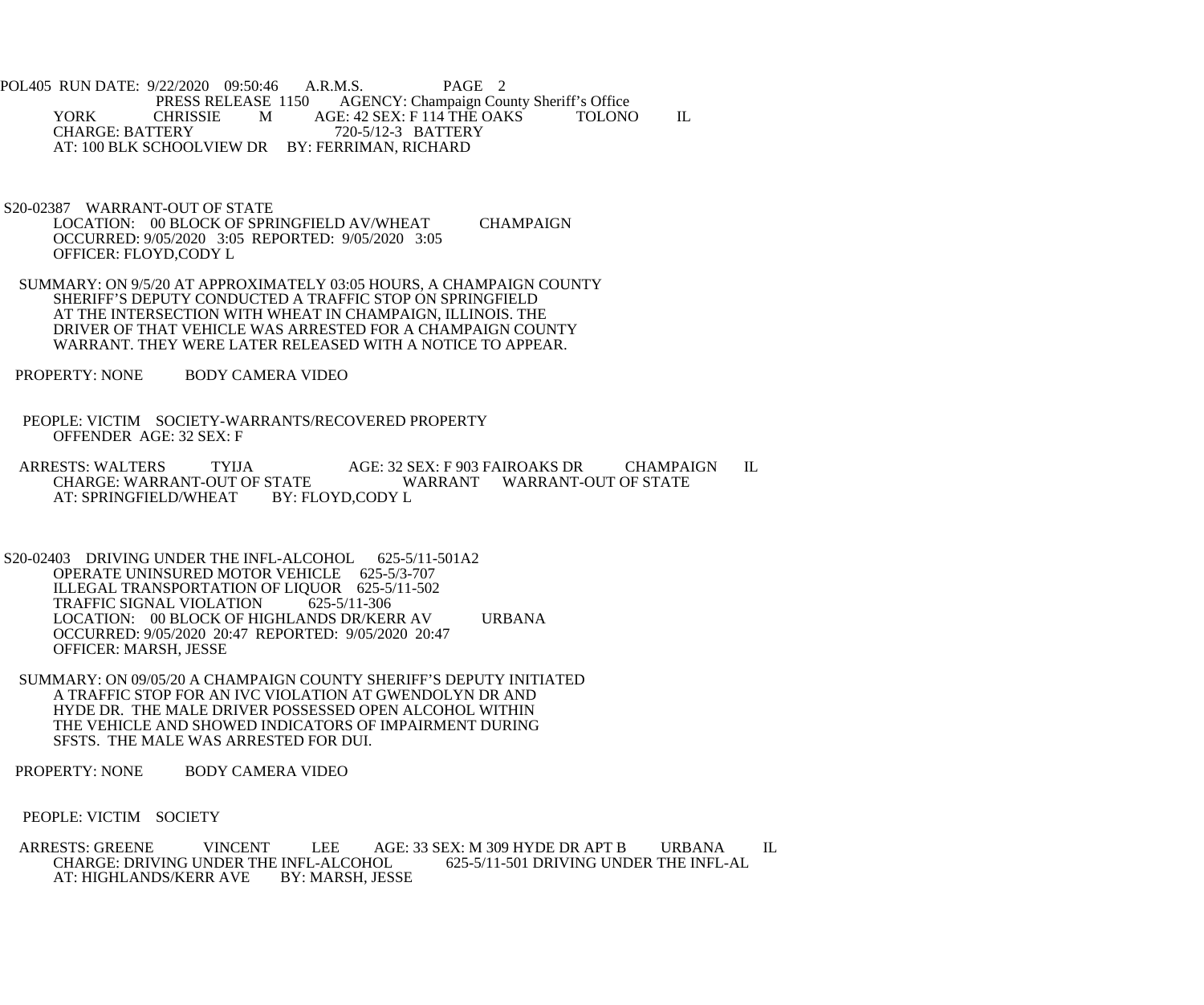POL405 RUN DATE: 9/22/2020 09:50:46 A.R.M.S. PAGE 2<br>PRESS RELEASE 1150 AGENCY: Champaign Cou AGENCY: Champaign County Sheriff's Office YORK CHRISSIE M AGE: 42 SEX: F 114 THE OAKS TOLONO IL<br>CHARGE: BATTERY 720-5/12-3 BATTERY CHARGE: BATTERY 720-5/12-3 BATTERY AT: 100 BLK SCHOOLVIEW DR BY: FERRIMAN, RICHARD

 S20-02387 WARRANT-OUT OF STATE LOCATION: 00 BLOCK OF SPRINGFIELD AV/WHEAT CHAMPAIGN OCCURRED: 9/05/2020 3:05 REPORTED: 9/05/2020 3:05 OFFICER: FLOYD,CODY L

- SUMMARY: ON 9/5/20 AT APPROXIMATELY 03:05 HOURS, A CHAMPAIGN COUNTY SHERIFF'S DEPUTY CONDUCTED A TRAFFIC STOP ON SPRINGFIELD AT THE INTERSECTION WITH WHEAT IN CHAMPAIGN, ILLINOIS. THE DRIVER OF THAT VEHICLE WAS ARRESTED FOR A CHAMPAIGN COUNTY WARRANT. THEY WERE LATER RELEASED WITH A NOTICE TO APPEAR.
- PROPERTY: NONE BODY CAMERA VIDEO
- PEOPLE: VICTIM SOCIETY-WARRANTS/RECOVERED PROPERTY OFFENDER AGE: 32 SEX: F
- ARRESTS: WALTERS TYIJA AGE: 32 SEX: F 903 FAIROAKS DR CHAMPAIGN IL CHARGE: WARRANT-OUT OF STATE WARRANT WARRANT-OUT OF STATE STATE WARRANT WARRANT-OUT OF STATE<br>BY: FLOYD.CODY L AT: SPRINGFIELD/WHEAT
- S20-02403 DRIVING UNDER THE INFL-ALCOHOL 625-5/11-501A2 OPERATE UNINSURED MOTOR VEHICLE 625-5/3-707 ILLEGAL TRANSPORTATION OF LIQUOR 625-5/11-502<br>TRAFFIC SIGNAL VIOLATION 625-5/11-306 TRAFFIC SIGNAL VIOLATION LOCATION: 00 BLOCK OF HIGHLANDS DR/KERR AV URBANA OCCURRED: 9/05/2020 20:47 REPORTED: 9/05/2020 20:47 OFFICER: MARSH, JESSE
- SUMMARY: ON 09/05/20 A CHAMPAIGN COUNTY SHERIFF'S DEPUTY INITIATED A TRAFFIC STOP FOR AN IVC VIOLATION AT GWENDOLYN DR AND HYDE DR. THE MALE DRIVER POSSESSED OPEN ALCOHOL WITHIN THE VEHICLE AND SHOWED INDICATORS OF IMPAIRMENT DURING SFSTS. THE MALE WAS ARRESTED FOR DUI.
- PROPERTY: NONE BODY CAMERA VIDEO
- PEOPLE: VICTIM SOCIETY
- ARRESTS: GREENE VINCENT LEE AGE: 33 SEX: M 309 HYDE DR APT B URBANA IL<br>CHARGE: DRIVING UNDER THE INFL-ALCOHOL 625-5/11-501 DRIVING UNDER THE INFL-AL CHARGE: DRIVING UNDER THE INFL-ALCOHOL<br>AT: HIGHLANDS/KERR AVE BY: MARSH, JESSE AT: HIGHLANDS/KERR AVE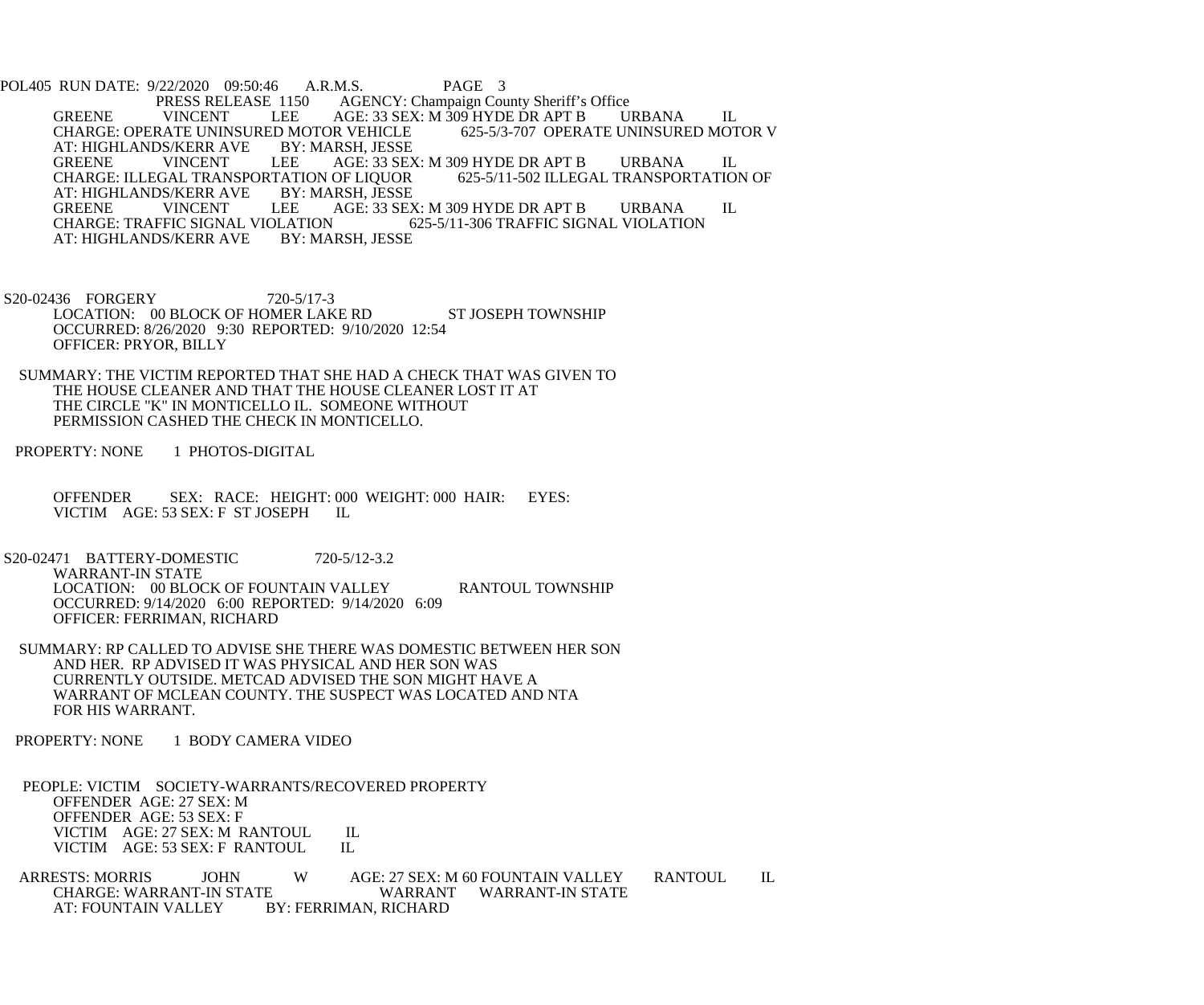POL405 RUN DATE: 9/22/2020 09:50:46 A.R.M.S. PAGE 3<br>PRESS RELEASE 1150 AGENCY: Champaign Cou PRESS RELEASE 1150 AGENCY: Champaign County Sheriff's Office<br>GREENE VINCENT LEE AGE: 33 SEX: M 309 HYDE DR APT B VINCENT LEE AGE: 33 SEX: M 309 HYDE DR APT B URBANA IL<br>CATE UNINSURED MOTOR VEHICLE 625-5/3-707 OPERATE UNINSURED MOTOR V CHARGE: OPERATE UNINSURED MOTOR VEHICLE<br>AT: HIGHLANDS/KERR AVE BY: MARSH, JESSE AT: HIGHLANDS/KERR AVE BY<br>GREENE VINCENT LEE AGE: 33 SEX: M 309 HYDE DR APT B URBANA IL<br>OF LIOUOR 625-5/11-502 ILLEGAL TRANSPORTATION OF CHARGE: ILLEGAL TRANSPORTATION OF LIQUOR<br>AT: HIGHLANDS/KERR AVE BY: MARSH, JESSE AT: HIGHLANDS/KERR AVE BY<br>GREENE VINCENT LEE GREENE VINCENT LEE AGE: 33 SEX: M 309 HYDE DR APT B URBANA IL CHARGE: TRAFFIC SIGNAL VIOLATION 625-5/11-306 TRAFFIC SIGNAL VIOLATION LATION 625-5/11-306 TRAFFIC SIGNAL VIOLATION<br>BY: MARSH. JESSE AT: HIGHLANDS/KERR AVE

S20-02436 FORGERY 720-5/17-3 LOCATION: 00 BLOCK OF HOMER LAKE RD ST JOSEPH TOWNSHIP OCCURRED: 8/26/2020 9:30 REPORTED: 9/10/2020 12:54 OFFICER: PRYOR, BILLY

 SUMMARY: THE VICTIM REPORTED THAT SHE HAD A CHECK THAT WAS GIVEN TO THE HOUSE CLEANER AND THAT THE HOUSE CLEANER LOST IT AT THE CIRCLE "K" IN MONTICELLO IL. SOMEONE WITHOUT PERMISSION CASHED THE CHECK IN MONTICELLO.

PROPERTY: NONE 1 PHOTOS-DIGITAL

 OFFENDER SEX: RACE: HEIGHT: 000 WEIGHT: 000 HAIR: EYES: VICTIM AGE: 53 SEX: F ST JOSEPH IL

S20-02471 BATTERY-DOMESTIC 720-5/12-3.2 WARRANT-IN STATE LOCATION: 00 BLOCK OF FOUNTAIN VALLEY RANTOUL TOWNSHIP OCCURRED: 9/14/2020 6:00 REPORTED: 9/14/2020 6:09 OFFICER: FERRIMAN, RICHARD

 SUMMARY: RP CALLED TO ADVISE SHE THERE WAS DOMESTIC BETWEEN HER SON AND HER. RP ADVISED IT WAS PHYSICAL AND HER SON WAS CURRENTLY OUTSIDE. METCAD ADVISED THE SON MIGHT HAVE A WARRANT OF MCLEAN COUNTY. THE SUSPECT WAS LOCATED AND NTA FOR HIS WARRANT.

PROPERTY: NONE 1 BODY CAMERA VIDEO

 PEOPLE: VICTIM SOCIETY-WARRANTS/RECOVERED PROPERTY OFFENDER AGE: 27 SEX: M OFFENDER AGE: 53 SEX: F VICTIM AGE: 27 SEX: M RANTOUL IL<br>VICTIM AGE: 53 SEX: F RANTOUL IL VICTIM AGE: 53 SEX: F RANTOUL

ARRESTS: MORRIS JOHN W AGE: 27 SEX: M 60 FOUNTAIN VALLEY RANTOUL IL CHARGE: WARRANT WARRANT WARRANT-IN STATE CHARGE: WARRANT-IN STATE<br>AT: FOUNTAIN VALLEY BY: FERRIMAN, RICHARD